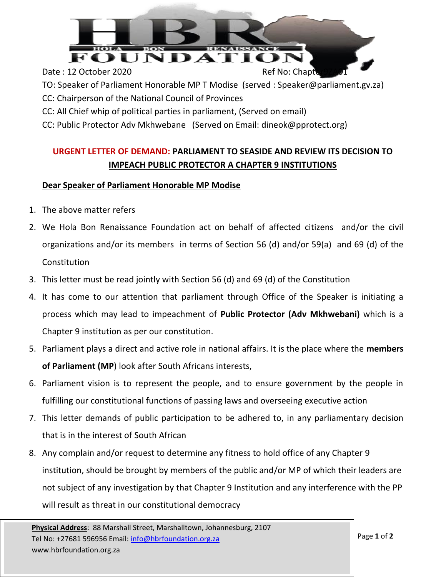

- TO: Speaker of Parliament Honorable MP T Modise (served : Speaker@parliament.gv.za)
- CC: Chairperson of the National Council of Provinces
- CC: All Chief whip of political parties in parliament, (Served on email)
- CC: Public Protector Adv Mkhwebane (Served on Email: dineok@pprotect.org)

## **URGENT LETTER OF DEMAND: PARLIAMENT TO SEASIDE AND REVIEW ITS DECISION TO IMPEACH PUBLIC PROTECTOR A CHAPTER 9 INSTITUTIONS**

## **Dear Speaker of Parliament Honorable MP Modise**

- 1. The above matter refers
- 2. We Hola Bon Renaissance Foundation act on behalf of affected citizens and/or the civil organizations and/or its members in terms of Section 56 (d) and/or 59(a) and 69 (d) of the Constitution
- 3. This letter must be read jointly with Section 56 (d) and 69 (d) of the Constitution
- 4. It has come to our attention that parliament through Office of the Speaker is initiating a process which may lead to impeachment of **Public Protector (Adv Mkhwebani)** which is a Chapter 9 institution as per our constitution.
- 5. Parliament plays a direct and active role in national affairs. It is the place where the **members of Parliament (MP**) look after South Africans interests,
- 6. Parliament vision is to represent the people, and to ensure government by the people in fulfilling our constitutional functions of passing laws and overseeing executive action
- 7. This letter demands of public participation to be adhered to, in any parliamentary decision that is in the interest of South African
- 8. Any complain and/or request to determine any fitness to hold office of any Chapter 9 institution, should be brought by members of the public and/or MP of which their leaders are not subject of any investigation by that Chapter 9 Institution and any interference with the PP will result as threat in our constitutional democracy